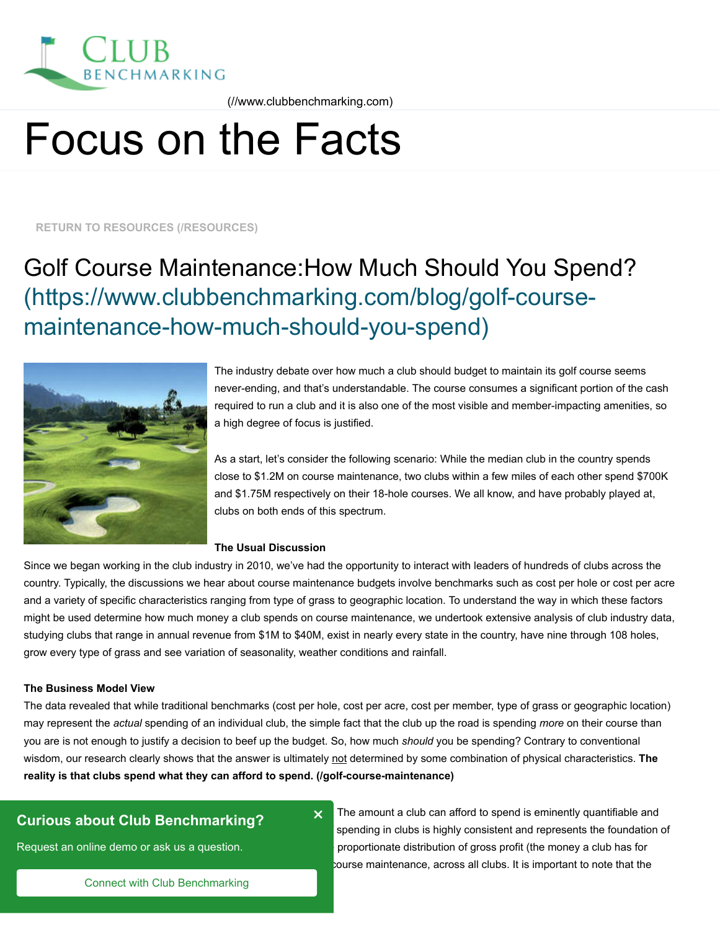

 [\(//www.clubbenchmarking.com\)](https://www.clubbenchmarking.com/)

# Focus on the Facts

# Golf Course Maintenance:How Much Should You Spend? [\(https://www.clubbenchmarking.com/blog/golf-course](https://www.clubbenchmarking.com/blog/golf-course-maintenance-how-much-should-you-spend)maintenance-how-much-should-you-spend)



The industry debate over how much a club should budget to maintain its golf course seems never-ending, and that's understandable. The course consumes a significant portion of the cash required to run a club and it is also one of the most visible and member-impacting amenities, so a high degree of focus is justified.

As a start, let's consider the following scenario: While the median club in the country spends close to \$1.2M on course maintenance, two clubs within a few miles of each other spend \$700K and \$1.75M respectively on their 18-hole courses. We all know, and have probably played at, clubs on both ends of this spectrum.

#### **The Usual Discussion**

Since we began working in the club industry in 2010, we've had the opportunity to interact with leaders of hundreds of clubs across the country. Typically, the discussions we hear about course maintenance budgets involve benchmarks such as cost per hole or cost per acre and a variety of specific characteristics ranging from type of grass to geographic location. To understand the way in which these factors might be used determine how much money a club spends on course maintenance, we undertook extensive analysis of club industry data, studying clubs that range in annual revenue from \$1M to \$40M, exist in nearly every state in the country, have nine through 108 holes, grow every type of grass and see variation of seasonality, weather conditions and rainfall. FIXELY TO RESOURCES (RESOURCES)<br> **Golf Course Maintenance-how-much-should-you-spend)**<br>
(https://www.clubbenchmarking.com/blog/golf-course-<br>
maintenance-how-much-should-you-spend)<br>
membring including the main out and the ma

#### **The Business Model View**

The data revealed that while traditional benchmarks (cost per hole, cost per acre, cost per member, type of grass or geographic location) may represent the *actual* spending of an individual club, the simple fact that the club up the road is spending *more* on their course than you are is not enough to justify a decision to beef up the budget. So, how much *should* you be spending? Contrary to conventional [wisdom, our research clearly shows that the answer is ultimately not determined by some combination of physical characteristics.](https://www.clubbenchmarking.com/golf-course-maintenance) **The reality is that clubs spend what they can afford to spend. (/golf-course-maintenance)**

×

https://www.clubbenchmarking.com/blog/golf-course-maintenance-how-much-should-you-spend 1/5

# **Curious about Club Benchmarking?**

Request an online demo or ask us a question.

The amount a club can afford to spend is eminently quantifiable and spending in clubs is highly consistent and represents the foundation of proportionate distribution of gross profit (the money a club has for

Connect with Club Benchmarking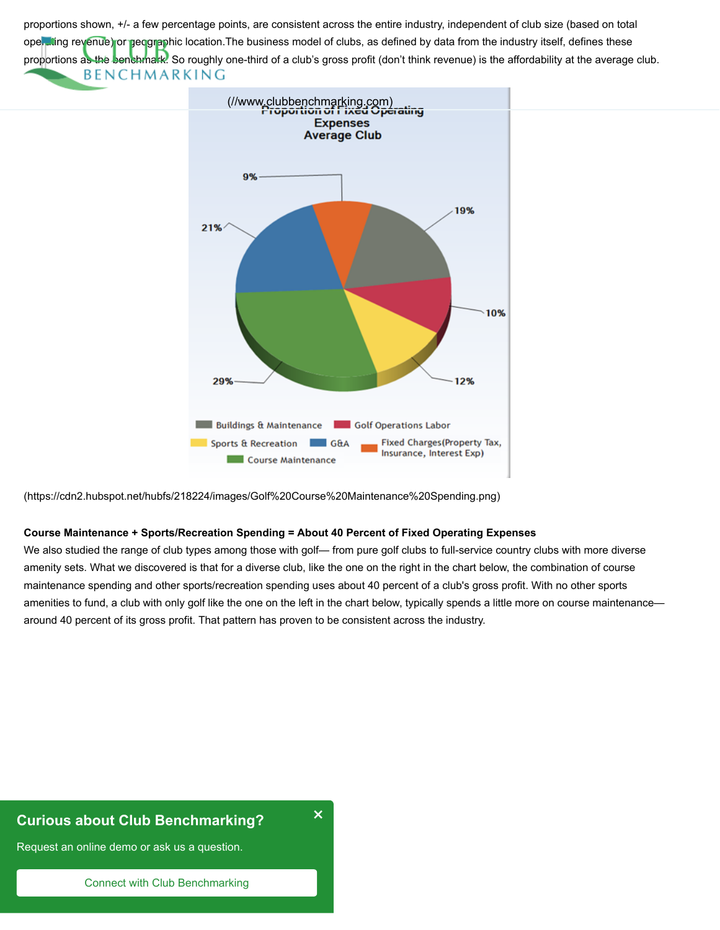[proportions shown, +/- a few percentage points, are consistent across the entir](https://www.clubbenchmarking.com/)e industry, independent of club size (based on total operating revenue) or geographic location. The business model of clubs, as defined by data from the industry itself, defines these proportions as the benchmark. So roughly one-third of a club's gross profit (don't think revenue) is the affordability at the average club. **BENCHMARKING** 



[\(https://cdn2.hubspot.net/hubfs/218224/images/Golf%20Course%20Maintenance%20Spending.png\)](https://cdn2.hubspot.net/hubfs/218224/images/Golf%20Course%20Maintenance%20Spending.png)

#### **Course Maintenance + Sports/Recreation Spending = About 40 Percent of Fixed Operating Expenses**

We also studied the range of club types among those with golf— from pure golf clubs to full-service country clubs with more diverse amenity sets. What we discovered is that for a diverse club, like the one on the right in the chart below, the combination of course maintenance spending and other sports/recreation spending uses about 40 percent of a club's gross profit. With no other sports amenities to fund, a club with only golf like the one on the left in the chart below, typically spends a little more on course maintenance around 40 percent of its gross profit. That pattern has proven to be consistent across the industry.

https://www.clubbenchmarking.com/blog/golf-course-maintenance-how-much-should-you-spend 2/5-course-maintenance-

×

# **Curious about Club Benchmarking?**

Request an online demo or ask us a question.

Connect with Club Benchmarking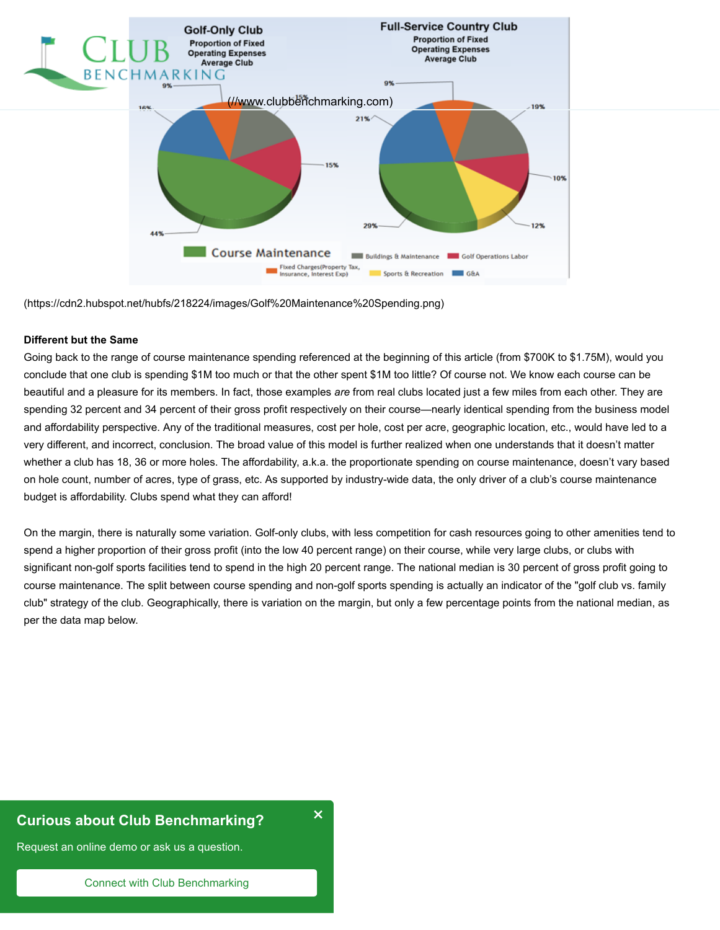

[\(https://cdn2.hubspot.net/hubfs/218224/images/Golf%20Maintenance%20Spending.png\)](https://cdn2.hubspot.net/hubfs/218224/images/Golf%20Maintenance%20Spending.png)

#### **Different but the Same**

Going back to the range of course maintenance spending referenced at the beginning of this article (from \$700K to \$1.75M), would you conclude that one club is spending \$1M too much or that the other spent \$1M too little? Of course not. We know each course can be beautiful and a pleasure for its members. In fact, those examples *are* from real clubs located just a few miles from each other. They are spending 32 percent and 34 percent of their gross profit respectively on their course—nearly identical spending from the business model and affordability perspective. Any of the traditional measures, cost per hole, cost per acre, geographic location, etc., would have led to a very different, and incorrect, conclusion. The broad value of this model is further realized when one understands that it doesn't matter whether a club has 18, 36 or more holes. The affordability, a.k.a. the proportionate spending on course maintenance, doesn't vary based on hole count, number of acres, type of grass, etc. As supported by industry-wide data, the only driver of a club's course maintenance budget is affordability. Clubs spend what they can afford!

On the margin, there is naturally some variation. Golf-only clubs, with less competition for cash resources going to other amenities tend to spend a higher proportion of their gross profit (into the low 40 percent range) on their course, while very large clubs, or clubs with significant non-golf sports facilities tend to spend in the high 20 percent range. The national median is 30 percent of gross profit going to course maintenance. The split between course spending and non-golf sports spending is actually an indicator of the "golf club vs. family club" strategy of the club. Geographically, there is variation on the margin, but only a few percentage points from the national median, as per the data map below.

https://www.clubbenchmarking.com/blog/golf-course-maintenance-how-much-should-you-spend 3/55-course-maintenance-

×

# **Curious about Club Benchmarking?**

Request an online demo or ask us a question.

Connect with Club Benchmarking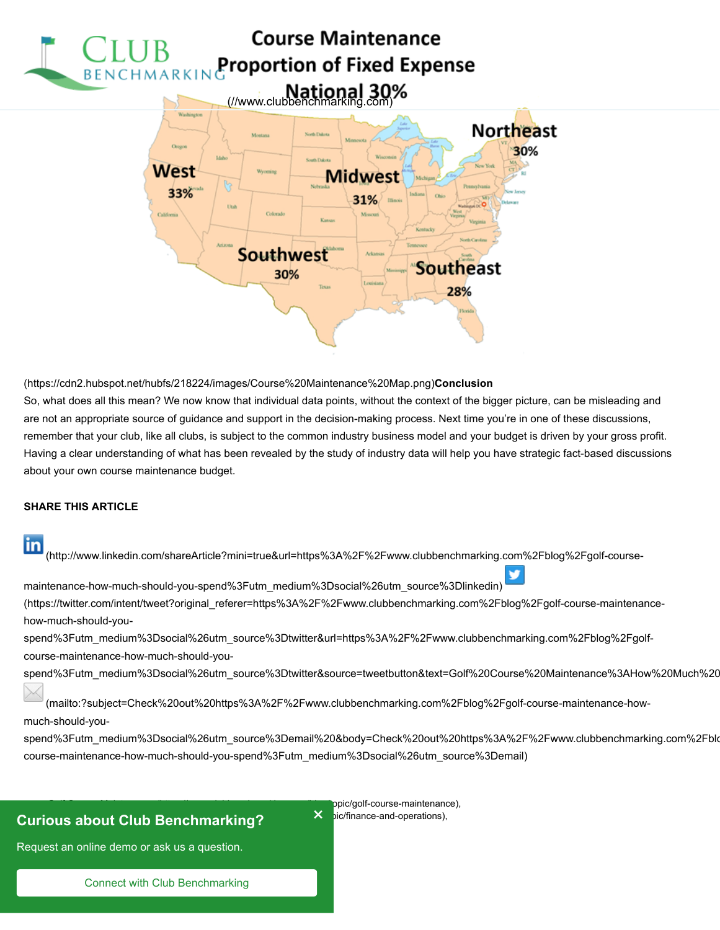

[\(https://cdn2.hubspot.net/hubfs/218224/images/Course%20Maintenance%20Map.png\)](https://cdn2.hubspot.net/hubfs/218224/images/Course%20Maintenance%20Map.png)**Conclusion** So, what does all this mean? We now know that individual data points, without the context of the bigger picture, can be misleading and are not an appropriate source of guidance and support in the decision-making process. Next time you're in one of these discussions, remember that your club, like all clubs, is subject to the common industry business model and your budget is driven by your gross profit. Having a clear understanding of what has been revealed by the study of industry data will help you have strategic fact-based discussions about your own course maintenance budget.

#### **SHARE THIS ARTICLE**

in  [\(http://www.linkedin.com/shareArticle?mini=true&url=https%3A%2F%2Fwww.clubbenchmarking.com%2Fblog%2Fgolf-course-](http://www.linkedin.com/shareArticle?mini=true&url=https%3A%2F%2Fwww.clubbenchmarking.com%2Fblog%2Fgolf-course-maintenance-how-much-should-you-spend%3Futm_medium%3Dsocial%26utm_source%3Dlinkedin)

maintenance-how-much-should-you-spend%3Futm\_medium%3Dsocial%26utm\_source%3Dlinkedin)

(https://twitter.com/intent/tweet?original\_referer=https%3A%2F%2Fwww.clubbenchmarking.com%2Fblog%2Fgolf-course-maintenancehow-much-should-you-

spend%3Futm\_medium%3Dsocial%26utm\_source%3Dtwitter&url=https%3A%2F%2Fwww.clubbenchmarking.com%2Fblog%2Fgolfcourse-maintenance-how-much-should-you-

[spend%3Futm\\_medium%3Dsocial%26utm\\_source%3Dtwitter&source=tweetbutton&text=Golf%20Course%20Maintenance%3AHow%20Much%20](https://twitter.com/intent/tweet?original_referer=https%3A%2F%2Fwww.clubbenchmarking.com%2Fblog%2Fgolf-course-maintenance-how-much-should-you-spend%3Futm_medium%3Dsocial%26utm_source%3Dtwitter&url=https%3A%2F%2Fwww.clubbenchmarking.com%2Fblog%2Fgolf-course-maintenance-how-much-should-you-spend%3Futm_medium%3Dsocial%26utm_source%3Dtwitter&source=tweetbutton&text=Golf%20Course%20Maintenance%3AHow%20Much%20Should%20You%20Spend%3F)

 (mailto:?subject=Check%20out%20https%3A%2F%2Fwww.clubbenchmarking.com%2Fblog%2Fgolf-course-maintenance-howmuch-should-you-

×

[spend%3Futm\\_medium%3Dsocial%26utm\\_source%3Demail%20&body=Check%20out%20https%3A%2F%2Fwww.clubbenchmarking.com%2Fblo](mailto:?subject=Check%20out%20https%3A%2F%2Fwww.clubbenchmarking.com%2Fblog%2Fgolf-course-maintenance-how-much-should-you-spend%3Futm_medium%3Dsocial%26utm_source%3Demail%20&body=Check%20out%20https%3A%2F%2Fwww.clubbenchmarking.com%2Fblog%2Fgolf-course-maintenance-how-much-should-you-spend%3Futm_medium%3Dsocial%26utm_source%3Demail) course-maintenance-how-much-should-you-spend%3Futm\_medium%3Dsocial%26utm\_source%3Demail)

https://www.clubbenchmarking.com/blog/golf-course-maintenance-how-much-should-you-spend 4/5/5/5/5/5/5/5/5/5/5/

#### $\mathsf{F}$  is a shout Club Bonchmarking?  $\mathsf{X}$  is interesting in  $\mathsf{X}$  $\blacksquare$ Curious about Club Benchmarking?

Request an online demo or ask us a question.

Connect with Club Benchmarking

opic/golf-course-maintenance),